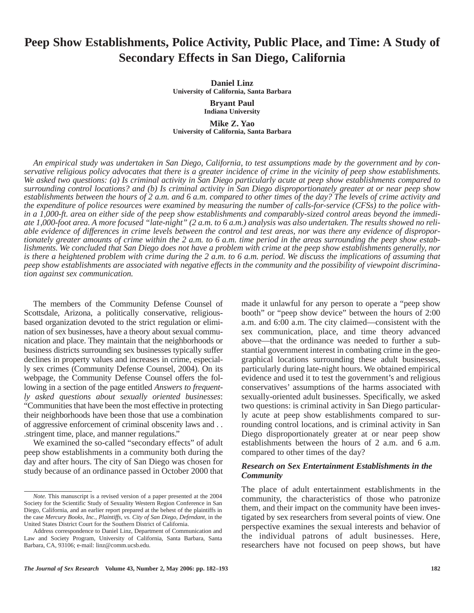# **Peep Show Establishments, Police Activity, Public Place, and Time: A Study of Secondary Effects in San Diego, California**

**Daniel Linz University of California, Santa Barbara Bryant Paul Indiana University**

**Mike Z. Yao University of California, Santa Barbara**

*An empirical study was undertaken in San Diego, California, to test assumptions made by the government and by conservative religious policy advocates that there is a greater incidence of crime in the vicinity of peep show establishments. We asked two questions: (a) Is criminal activity in San Diego particularly acute at peep show establishments compared to surrounding control locations? and (b) Is criminal activity in San Diego disproportionately greater at or near peep show establishments between the hours of 2 a.m. and 6 a.m. compared to other times of the day? The levels of crime activity and the expenditure of police resources were examined by measuring the number of calls-for-service (CFSs) to the police within a 1,000-ft. area on either side of the peep show establishments and comparably-sized control areas beyond the immediate 1,000-foot area. A more focused "late-night" (2 a.m. to 6 a.m.) analysis was also undertaken. The results showed no reliable evidence of differences in crime levels between the control and test areas, nor was there any evidence of disproportionately greater amounts of crime within the 2 a.m. to 6 a.m. time period in the areas surrounding the peep show establishments. We concluded that San Diego does not have a problem with crime at the peep show establishments generally, nor is there a heightened problem with crime during the 2 a.m. to 6 a.m. period. We discuss the implications of assuming that peep show establishments are associated with negative effects in the community and the possibility of viewpoint discrimination against sex communication.*

The members of the Community Defense Counsel of Scottsdale, Arizona, a politically conservative, religiousbased organization devoted to the strict regulation or elimination of sex businesses, have a theory about sexual communication and place. They maintain that the neighborhoods or business districts surrounding sex businesses typically suffer declines in property values and increases in crime, especially sex crimes (Community Defense Counsel, 2004). On its webpage, the Community Defense Counsel offers the following in a section of the page entitled *Answers to frequently asked questions about sexually oriented businesses*: "Communities that have been the most effective in protecting their neighborhoods have been those that use a combination of aggressive enforcement of criminal obscenity laws and . . .stringent time, place, and manner regulations."

We examined the so-called "secondary effects" of adult peep show establishments in a community both during the day and after hours. The city of San Diego was chosen for study because of an ordinance passed in October 2000 that

*The Journal of Sex Research* **Volume 43, Number 2, May 2006: pp. 182–193 182**

made it unlawful for any person to operate a "peep show booth" or "peep show device" between the hours of 2:00 a.m. and 6:00 a.m. The city claimed—consistent with the sex communication, place, and time theory advanced above—that the ordinance was needed to further a substantial government interest in combating crime in the geographical locations surrounding these adult businesses, particularly during late-night hours. We obtained empirical evidence and used it to test the government's and religious conservatives' assumptions of the harms associated with sexually-oriented adult businesses. Specifically, we asked two questions: is criminal activity in San Diego particularly acute at peep show establishments compared to surrounding control locations, and is criminal activity in San Diego disproportionately greater at or near peep show establishments between the hours of 2 a.m. and 6 a.m. compared to other times of the day?

## *Research on Sex Entertainment Establishments in the Community*

The place of adult entertainment establishments in the community, the characteristics of those who patronize them, and their impact on the community have been investigated by sex researchers from several points of view. One perspective examines the sexual interests and behavior of the individual patrons of adult businesses. Here, researchers have not focused on peep shows, but have

*Note.* This manuscript is a revised version of a paper presented at the 2004 Society for the Scientific Study of Sexuality Western Region Conference in San Diego, California, and an earlier report prepared at the behest of the plaintiffs in the case *Mercury Books, Inc., Plaintiffs, vs. City of San Diego, Defendant,* in the United States District Court for the Southern District of California.

Address correspondence to Daniel Linz, Department of Communication and Law and Society Program, University of California, Santa Barbara, Santa Barbara, CA, 93106; e-mail: linz@comm.ucsb.edu.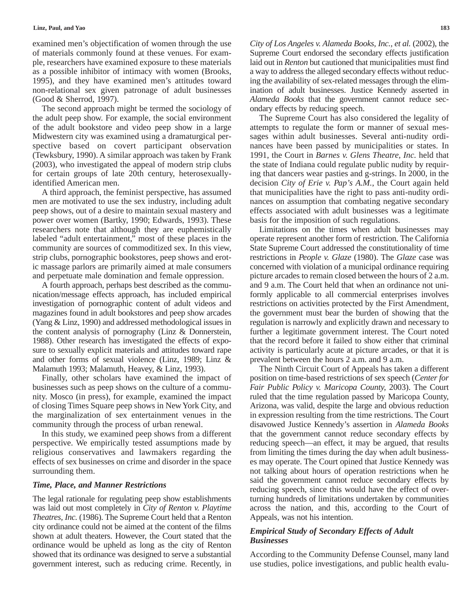examined men's objectification of women through the use of materials commonly found at these venues. For example, researchers have examined exposure to these materials as a possible inhibitor of intimacy with women (Brooks, 1995), and they have examined men's attitudes toward non-relational sex given patronage of adult businesses (Good & Sherrod, 1997).

The second approach might be termed the sociology of the adult peep show. For example, the social environment of the adult bookstore and video peep show in a large Midwestern city was examined using a dramaturgical perspective based on covert participant observation (Tewksbury, 1990). A similar approach was taken by Frank (2003), who investigated the appeal of modern strip clubs for certain groups of late 20th century, heterosexuallyidentified American men.

A third approach, the feminist perspective, has assumed men are motivated to use the sex industry, including adult peep shows, out of a desire to maintain sexual mastery and power over women (Bartky, 1990; Edwards, 1993). These researchers note that although they are euphemistically labeled "adult entertainment," most of these places in the community are sources of commoditized sex. In this view, strip clubs, pornographic bookstores, peep shows and erotic massage parlors are primarily aimed at male consumers and perpetuate male domination and female oppression.

A fourth approach, perhaps best described as the communication/message effects approach, has included empirical investigation of pornographic content of adult videos and magazines found in adult bookstores and peep show arcades (Yang & Linz, 1990) and addressed methodological issues in the content analysis of pornography (Linz & Donnerstein, 1988). Other research has investigated the effects of exposure to sexually explicit materials and attitudes toward rape and other forms of sexual violence (Linz, 1989; Linz & Malamuth 1993; Malamuth, Heavey, & Linz, 1993).

Finally, other scholars have examined the impact of businesses such as peep shows on the culture of a community. Mosco (in press), for example, examined the impact of closing Times Square peep shows in New York City, and the marginalization of sex entertainment venues in the community through the process of urban renewal.

In this study, we examined peep shows from a different perspective. We empirically tested assumptions made by religious conservatives and lawmakers regarding the effects of sex businesses on crime and disorder in the space surrounding them.

## *Time, Place, and Manner Restrictions*

The legal rationale for regulating peep show establishments was laid out most completely in *City of Renton v. Playtime Theatres, Inc.* (1986). The Supreme Court held that a Renton city ordinance could not be aimed at the content of the films shown at adult theaters. However, the Court stated that the ordinance would be upheld as long as the city of Renton showed that its ordinance was designed to serve a substantial government interest, such as reducing crime. Recently, in *City of Los Angeles v. Alameda Books, Inc., et al.* (2002), the Supreme Court endorsed the secondary effects justification laid out in *Renton* but cautioned that municipalities must find a way to address the alleged secondary effects without reducing the availability of sex-related messages through the elimination of adult businesses. Justice Kennedy asserted in *Alameda Books* that the government cannot reduce secondary effects by reducing speech.

The Supreme Court has also considered the legality of attempts to regulate the form or manner of sexual messages within adult businesses. Several anti-nudity ordinances have been passed by municipalities or states. In 1991, the Court in *Barnes v. Glens Theatre, Inc.* held that the state of Indiana could regulate public nudity by requiring that dancers wear pasties and g-strings. In 2000, in the decision *City of Erie v. Pap's A.M.*, the Court again held that municipalities have the right to pass anti-nudity ordinances on assumption that combating negative secondary effects associated with adult businesses was a legitimate basis for the imposition of such regulations.

Limitations on the times when adult businesses may operate represent another form of restriction. The California State Supreme Court addressed the constitutionality of time restrictions in *People v. Glaze* (1980). The *Glaze* case was concerned with violation of a municipal ordinance requiring picture arcades to remain closed between the hours of 2 a.m. and 9 a.m. The Court held that when an ordinance not uniformly applicable to all commercial enterprises involves restrictions on activities protected by the First Amendment, the government must bear the burden of showing that the regulation is narrowly and explicitly drawn and necessary to further a legitimate government interest. The Court noted that the record before it failed to show either that criminal activity is particularly acute at picture arcades, or that it is prevalent between the hours 2 a.m. and 9 a.m.

The Ninth Circuit Court of Appeals has taken a different position on time-based restrictions of sex speech (*Center for Fair Public Policy v. Maricopa County,* 2003). The Court ruled that the time regulation passed by Maricopa County, Arizona, was valid, despite the large and obvious reduction in expression resulting from the time restrictions. The Court disavowed Justice Kennedy's assertion in *Alameda Books* that the government cannot reduce secondary effects by reducing speech—an effect, it may be argued, that results from limiting the times during the day when adult businesses may operate. The Court opined that Justice Kennedy was not talking about hours of operation restrictions when he said the government cannot reduce secondary effects by reducing speech, since this would have the effect of overturning hundreds of limitations undertaken by communities across the nation, and this, according to the Court of Appeals, was not his intention.

# *Empirical Study of Secondary Effects of Adult Businesses*

According to the Community Defense Counsel, many land use studies, police investigations, and public health evalu-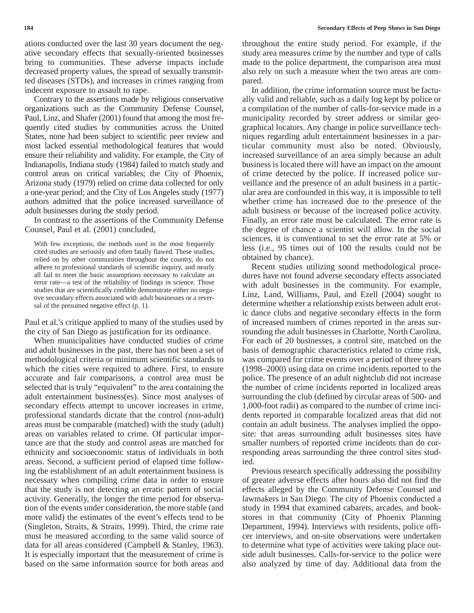ations conducted over the last 30 years document the negative secondary effects that sexually-oriented businesses bring to communities. These adverse impacts include decreased property values, the spread of sexually transmitted diseases (STDs), and increases in crimes ranging from indecent exposure to assault to rape.

Contrary to the assertions made by religious conservative organizations such as the Community Defense Counsel, Paul, Linz, and Shafer (2001) found that among the most frequently cited studies by communities across the United States, none had been subject to scientific peer review and most lacked essential methodological features that would ensure their reliability and validity. For example, the City of Indianapolis, Indiana study (1984) failed to match study and control areas on critical variables; the City of Phoenix, Arizona study (1979) relied on crime data collected for only a one-year period; and the City of Los Angeles study (1977) authors admitted that the police increased surveillance of adult businesses during the study period.

In contrast to the assertions of the Community Defense Counsel, Paul et al. (2001) concluded,

With few exceptions, the methods used in the most frequently cited studies are seriously and often fatally flawed. These studies, relied on by other communities throughout the country, do not adhere to professional standards of scientific inquiry, and nearly all fail to meet the basic assumptions necessary to calculate an error rate—a test of the reliability of findings in science. Those studies that are scientifically credible demonstrate either no negative secondary effects associated with adult businesses or a reversal of the presumed negative effect (p. 1).

Paul et al.'s critique applied to many of the studies used by the city of San Diego as justification for its ordinance.

When municipalities have conducted studies of crime and adult businesses in the past, there has not been a set of methodological criteria or minimum scientific standards to which the cities were required to adhere. First, to ensure accurate and fair comparisons, a control area must be selected that is truly "equivalent" to the area containing the adult entertainment business(es). Since most analyses of secondary effects attempt to uncover increases in crime, professional standards dictate that the control (non-adult) areas must be comparable (matched) with the study (adult) areas on variables related to crime. Of particular importance are that the study and control areas are matched for ethnicity and socioeconomic status of individuals in both areas. Second, a sufficient period of elapsed time following the establishment of an adult entertainment business is necessary when compiling crime data in order to ensure that the study is not detecting an erratic pattern of social activity. Generally, the longer the time period for observation of the events under consideration, the more stable (and more valid) the estimates of the event's effects tend to be (Singleton, Straits, & Straits, 1999). Third, the crime rate must be measured according to the same valid source of data for all areas considered (Campbell & Stanley, 1963). It is especially important that the measurement of crime is based on the same information source for both areas and

throughout the entire study period. For example, if the study area measures crime by the number and type of calls made to the police department, the comparison area must also rely on such a measure when the two areas are compared.

In addition, the crime information source must be factually valid and reliable, such as a daily log kept by police or a compilation of the number of calls-for-service made in a municipality recorded by street address or similar geographical locators. Any change in police surveillance techniques regarding adult entertainment businesses in a particular community must also be noted. Obviously, increased surveillance of an area simply because an adult business is located there will have an impact on the amount of crime detected by the police. If increased police surveillance and the presence of an adult business in a particular area are confounded in this way, it is impossible to tell whether crime has increased due to the presence of the adult business or because of the increased police activity. Finally, an error rate must be calculated. The error rate is the degree of chance a scientist will allow. In the social sciences, it is conventional to set the error rate at 5% or less (i.e., 95 times out of 100 the results could not be obtained by chance).

Recent studies utilizing sound methodological procedures have not found adverse secondary effects associated with adult businesses in the community. For example, Linz, Land, Williams, Paul, and Ezell (2004) sought to determine whether a relationship exists between adult erotic dance clubs and negative secondary effects in the form of increased numbers of crimes reported in the areas surrounding the adult businesses in Charlotte, North Carolina. For each of 20 businesses, a control site, matched on the basis of demographic characteristics related to crime risk, was compared for crime events over a period of three years (1998–2000) using data on crime incidents reported to the police. The presence of an adult nightclub did not increase the number of crime incidents reported in localized areas surrounding the club (defined by circular areas of 500- and 1,000-foot radii) as compared to the number of crime incidents reported in comparable localized areas that did not contain an adult business. The analyses implied the opposite: that areas surrounding adult businesses sites have smaller numbers of reported crime incidents than do corresponding areas surrounding the three control sites studied.

Previous research specifically addressing the possibility of greater adverse effects after hours also did not find the effects alleged by the Community Defense Counsel and lawmakers in San Diego. The city of Phoenix conducted a study in 1994 that examined cabarets, arcades, and bookstores in that community (City of Phoenix Planning Department, 1994). Interviews with residents, police officer interviews, and on-site observations were undertaken to determine what type of activities were taking place outside adult businesses. Calls-for-service to the police were also analyzed by time of day. Additional data from the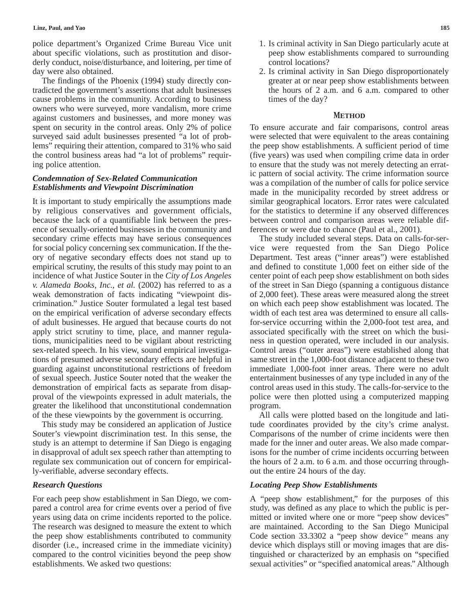police department's Organized Crime Bureau Vice unit about specific violations, such as prostitution and disorderly conduct, noise/disturbance, and loitering, per time of day were also obtained.

The findings of the Phoenix (1994) study directly contradicted the government's assertions that adult businesses cause problems in the community. According to business owners who were surveyed, more vandalism, more crime against customers and businesses, and more money was spent on security in the control areas. Only 2% of police surveyed said adult businesses presented "a lot of problems" requiring their attention, compared to 31% who said the control business areas had "a lot of problems" requiring police attention.

# *Condemnation of Sex-Related Communication Establishments and Viewpoint Discrimination*

It is important to study empirically the assumptions made by religious conservatives and government officials, because the lack of a quantifiable link between the presence of sexually-oriented businesses in the community and secondary crime effects may have serious consequences for social policy concerning sex communication. If the theory of negative secondary effects does not stand up to empirical scrutiny, the results of this study may point to an incidence of what Justice Souter in the *City of Los Angeles v. Alameda Books, Inc., et al.* (2002) has referred to as a weak demonstration of facts indicating "viewpoint discrimination." Justice Souter formulated a legal test based on the empirical verification of adverse secondary effects of adult businesses. He argued that because courts do not apply strict scrutiny to time, place, and manner regulations, municipalities need to be vigilant about restricting sex-related speech. In his view, sound empirical investigations of presumed adverse secondary effects are helpful in guarding against unconstitutional restrictions of freedom of sexual speech. Justice Souter noted that the weaker the demonstration of empirical facts as separate from disapproval of the viewpoints expressed in adult materials, the greater the likelihood that unconstitutional condemnation of the these viewpoints by the government is occurring.

This study may be considered an application of Justice Souter's viewpoint discrimination test. In this sense, the study is an attempt to determine if San Diego is engaging in disapproval of adult sex speech rather than attempting to regulate sex communication out of concern for empirically-verifiable, adverse secondary effects.

# *Research Questions*

For each peep show establishment in San Diego, we compared a control area for crime events over a period of five years using data on crime incidents reported to the police. The research was designed to measure the extent to which the peep show establishments contributed to community disorder (i.e., increased crime in the immediate vicinity) compared to the control vicinities beyond the peep show establishments. We asked two questions:

- 1. Is criminal activity in San Diego particularly acute at peep show establishments compared to surrounding control locations?
- 2. Is criminal activity in San Diego disproportionately greater at or near peep show establishments between the hours of 2 a.m. and 6 a.m. compared to other times of the day?

## **METHOD**

To ensure accurate and fair comparisons, control areas were selected that were equivalent to the areas containing the peep show establishments. A sufficient period of time (five years) was used when compiling crime data in order to ensure that the study was not merely detecting an erratic pattern of social activity. The crime information source was a compilation of the number of calls for police service made in the municipality recorded by street address or similar geographical locators. Error rates were calculated for the statistics to determine if any observed differences between control and comparison areas were reliable differences or were due to chance (Paul et al., 2001).

The study included several steps. Data on calls-for-service were requested from the San Diego Police Department. Test areas ("inner areas") were established and defined to constitute 1,000 feet on either side of the center point of each peep show establishment on both sides of the street in San Diego (spanning a contiguous distance of 2,000 feet). These areas were measured along the street on which each peep show establishment was located. The width of each test area was determined to ensure all callsfor-service occurring within the 2,000-foot test area, and associated specifically with the street on which the business in question operated, were included in our analysis. Control areas ("outer areas") were established along that same street in the 1,000-foot distance adjacent to these two immediate 1,000-foot inner areas. There were no adult entertainment businesses of any type included in any of the control areas used in this study. The calls-for-service to the police were then plotted using a computerized mapping program.

All calls were plotted based on the longitude and latitude coordinates provided by the city's crime analyst. Comparisons of the number of crime incidents were then made for the inner and outer areas. We also made comparisons for the number of crime incidents occurring between the hours of 2 a.m. to 6 a.m. and those occurring throughout the entire 24 hours of the day.

# *Locating Peep Show Establishments*

A "peep show establishment," for the purposes of this study, was defined as any place to which the public is permitted or invited where one or more "peep show devices" are maintained. According to the San Diego Municipal Code section 33.3302 a "peep show device*"* means any device which displays still or moving images that are distinguished or characterized by an emphasis on "specified sexual activities" or "specified anatomical areas." Although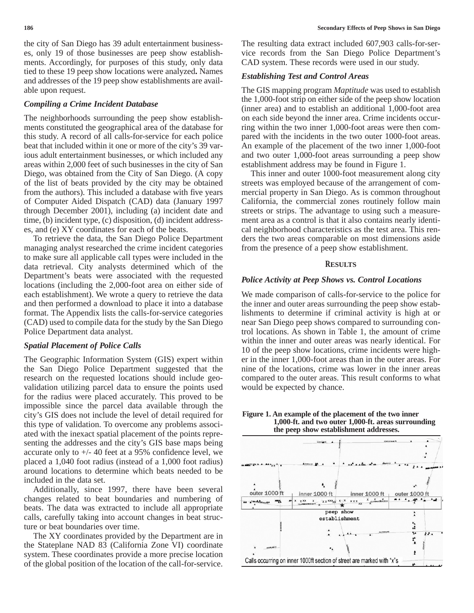the city of San Diego has 39 adult entertainment businesses, only 19 of those businesses are peep show establishments. Accordingly, for purposes of this study, only data tied to these 19 peep show locations were analyzed**.** Names and addresses of the 19 peep show establishments are available upon request.

#### *Compiling a Crime Incident Database*

The neighborhoods surrounding the peep show establishments constituted the geographical area of the database for this study. A record of all calls-for-service for each police beat that included within it one or more of the city's 39 various adult entertainment businesses, or which included any areas within 2,000 feet of such businesses in the city of San Diego, was obtained from the City of San Diego. (A copy of the list of beats provided by the city may be obtained from the authors). This included a database with five years of Computer Aided Dispatch (CAD) data (January 1997 through December 2001), including (a) incident date and time, (b) incident type, (c) disposition, (d) incident addresses, and (e) XY coordinates for each of the beats.

To retrieve the data, the San Diego Police Department managing analyst researched the crime incident categories to make sure all applicable call types were included in the data retrieval. City analysts determined which of the Department's beats were associated with the requested locations (including the 2,000-foot area on either side of each establishment). We wrote a query to retrieve the data and then performed a download to place it into a database format. The Appendix lists the calls-for-service categories (CAD) used to compile data for the study by the San Diego Police Department data analyst.

# *Spatial Placement of Police Calls*

The Geographic Information System (GIS) expert within the San Diego Police Department suggested that the research on the requested locations should include geovalidation utilizing parcel data to ensure the points used for the radius were placed accurately. This proved to be impossible since the parcel data available through the city's GIS does not include the level of detail required for this type of validation. To overcome any problems associated with the inexact spatial placement of the points representing the addresses and the city's GIS base maps being accurate only to  $+/- 40$  feet at a 95% confidence level, we placed a 1,040 foot radius (instead of a 1,000 foot radius) around locations to determine which beats needed to be included in the data set.

Additionally, since 1997, there have been several changes related to beat boundaries and numbering of beats. The data was extracted to include all appropriate calls, carefully taking into account changes in beat structure or beat boundaries over time.

The XY coordinates provided by the Department are in the Stateplane NAD 83 (California Zone VI) coordinate system. These coordinates provide a more precise location of the global position of the location of the call-for-service. The resulting data extract included 607,903 calls-for-service records from the San Diego Police Department's CAD system. These records were used in our study.

## *Establishing Test and Control Areas*

The GIS mapping program *Maptitude* was used to establish the 1,000-foot strip on either side of the peep show location (inner area) and to establish an additional 1,000-foot area on each side beyond the inner area. Crime incidents occurring within the two inner 1,000-foot areas were then compared with the incidents in the two outer 1000-foot areas. An example of the placement of the two inner 1,000-foot and two outer 1,000-foot areas surrounding a peep show establishment address may be found in Figure 1.

This inner and outer 1000-foot measurement along city streets was employed because of the arrangement of commercial property in San Diego. As is common throughout California, the commercial zones routinely follow main streets or strips. The advantage to using such a measurement area as a control is that it also contains nearly identical neighborhood characteristics as the test area. This renders the two areas comparable on most dimensions aside from the presence of a peep show establishment.

## **RESULTS**

#### *Police Activity at Peep Shows vs. Control Locations*

We made comparison of calls-for-service to the police for the inner and outer areas surrounding the peep show establishments to determine if criminal activity is high at or near San Diego peep shows compared to surrounding control locations. As shown in Table 1, the amount of crime within the inner and outer areas was nearly identical. For 10 of the peep show locations, crime incidents were higher in the inner 1,000-foot areas than in the outer areas. For nine of the locations, crime was lower in the inner areas compared to the outer areas. This result conforms to what would be expected by chance.

**Figure 1. An example of the placement of the two inner 1,000-ft. and two outer 1,000-ft. areas surrounding the peep show establishment addresses.**

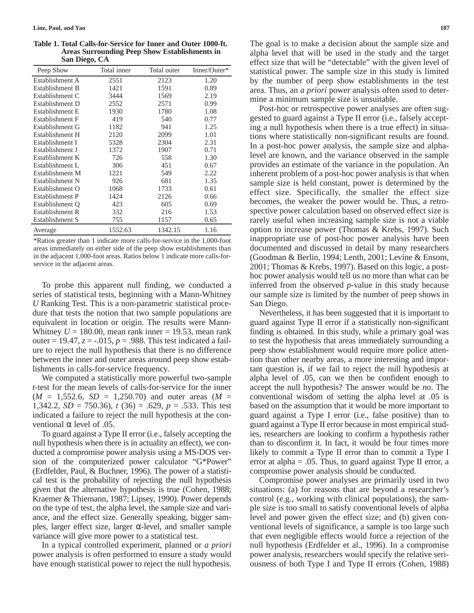**Table 1. Total Calls-for-Service for Inner and Outer 1000-ft. Areas Surrounding Peep Show Establishments in San Diego, CA**

|                 | $  \overline{\phantom{a}}$ |             |              |
|-----------------|----------------------------|-------------|--------------|
| Peep Show       | Total inner                | Total outer | Inner/Outer* |
| Establishment A | 2551                       | 2123        | 1.20         |
| Establishment B | 1421                       | 1591        | 0.89         |
| Establishment C | 3444                       | 1569        | 2.19         |
| Establishment D | 2552                       | 2571        | 0.99         |
| Establishment E | 1930                       | 1780        | 1.08         |
| Establishment F | 419                        | 540         | 0.77         |
| Establishment G | 1182                       | 941         | 1.25         |
| Establishment H | 2120                       | 2099        | 1.01         |
| Establishment I | 5328                       | 2304        | 2.31         |
| Establishment J | 1372                       | 1907        | 0.71         |
| Establishment K | 726                        | 558         | 1.30         |
| Establishment L | 306                        | 451         | 0.67         |
| Establishment M | 1221                       | 549         | 2.22         |
| Establishment N | 926                        | 681         | 1.35         |
| Establishment O | 1068                       | 1733        | 0.61         |
| Establishment P | 1424                       | 2126        | 0.66         |
| Establishment O | 423                        | 605         | 0.69         |
| Establishment R | 332                        | 216         | 1.53         |
| Establishment S | 755                        | 1157        | 0.65         |
| Average         | 1552.63                    | 1342.15     | 1.16         |

\*Ratios greater than 1 indicate more calls-for-service in the 1,000-foot areas immediately on either side of the peep show establishments than in the adjacent 1,000-foot areas. Ratios below 1 indicate more calls-forservice in the adjacent areas.

To probe this apparent null finding, we conducted a series of statistical tests, beginning with a Mann-Whitney *U* Ranking Test. This is a non-parametric statistical procedure that tests the notion that two sample populations are equivalent in location or origin. The results were Mann-Whitney  $U = 180.00$ , mean rank inner = 19.53, mean rank outer = 19.47,  $z = -0.015$ ,  $p = 0.988$ . This test indicated a failure to reject the null hypothesis that there is no difference between the inner and outer areas around peep show establishments in calls-for-service frequency.

We computed a statistically more powerful two-sample *t*-test for the mean levels of calls-for-service for the inner  $(M = 1,552.6, SD = 1,250.70)$  and outer areas  $(M = 1,552.6, SD = 1,250.70)$ 1,342.2, *SD* = 750.36), *t* (36) = .629, *p* = .533. This test indicated a failure to reject the null hypothesis at the conventional  $\alpha$  level of 0.05.

To guard against a Type II error (i.e., falsely accepting the null hypothesis when there is in actuality an effect), we conducted a compromise power analysis using a MS-DOS version of the computerized power calculator "G\*Power" (Erdfelder, Paul, & Buchner, 1996). The power of a statistical test is the probability of rejecting the null hypothesis given that the alternative hypothesis is true (Cohen, 1988; Kraemer & Thiemann, 1987; Lipsey, 1990). Power depends on the type of test, the alpha level, the sample size and variance, and the effect size. Generally speaking, bigger samples, larger effect size, larger α-level, and smaller sample variance will give more power to a statistical test.

In a typical controlled experiment, planned or *a priori* power analysis is often performed to ensure a study would have enough statistical power to reject the null hypothesis. The goal is to make a decision about the sample size and alpha level that will be used in the study and the target effect size that will be "detectable" with the given level of statistical power. The sample size in this study is limited by the number of peep show establishments in the test area. Thus, an *a priori* power analysis often used to determine a minimum sample size is unsuitable.

Post-hoc or retrospective power analyses are often suggested to guard against a Type II error (i.e., falsely accepting a null hypothesis when there is a true effect) in situations where statistically non-significant results are found. In a post-hoc power analysis, the sample size and alphalevel are known, and the variance observed in the sample provides an estimate of the variance in the population. An inherent problem of a post-hoc power analysis is that when sample size is held constant, power is determined by the effect size. Specifically, the smaller the effect size becomes, the weaker the power would be. Thus, a retrospective power calculation based on observed effect size is rarely useful when increasing sample size is not a viable option to increase power (Thomas & Krebs, 1997). Such inappropriate use of post-hoc power analysis have been documented and discussed in detail by many researchers (Goodman & Berlin, 1994; Lenth, 2001; Levine & Ensom, 2001; Thomas & Krebs, 1997). Based on this logic, a posthoc power analysis would tell us no more than what can be inferred from the observed *p*-value in this study because our sample size is limited by the number of peep shows in San Diego.

Nevertheless, it has been suggested that it is important to guard against Type II error if a statistically non-significant finding is obtained. In this study, while a primary goal was to test the hypothesis that areas immediately surrounding a peep show establishment would require more police attention than other nearby areas, a more interesting and important question is, if we fail to reject the null hypothesis at alpha level of .05, can we then be confident enough to accept the null hypothesis? The answer would be *no*. The conventional wisdom of setting the alpha level at .05 is based on the assumption that it would be more important to guard against a Type I error (i.e., false positive) than to guard against a Type II error because in most empirical studies, researchers are looking to confirm a hypothesis rather than to disconfirm it. In fact, it would be four times more likely to commit a Type II error than to commit a Type I error at alpha  $= .05$ . Thus, to guard against Type II error, a compromise power analysis should be conducted.

Compromise power analyses are primarily used in two situations: (a) for reasons that are beyond a researcher's control (e.g., working with clinical populations), the sample size is too small to satisfy conventional levels of alpha level and power given the effect size; and (b) given conventional levels of significance, a sample is too large such that even negligible effects would force a rejection of the null hypothesis (Erdfelder et al., 1996). In a compromise power analysis, researchers would specify the relative seriousness of both Type I and Type II errors (Cohen, 1988)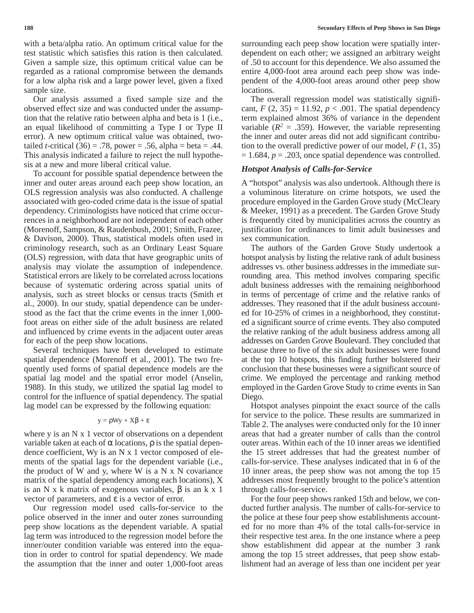Our analysis assumed a fixed sample size and the observed effect size and was conducted under the assumption that the relative ratio between alpha and beta is 1 (i.e., an equal likelihood of committing a Type I or Type II error). A new optimum critical value was obtained, twotailed *t*-critical  $(36) = .78$ , power = .56, alpha = beta = .44. This analysis indicated a failure to reject the null hypothesis at a new and more liberal critical value.

To account for possible spatial dependence between the inner and outer areas around each peep show location, an OLS regression analysis was also conducted. A challenge associated with geo-coded crime data is the issue of spatial dependency. Criminologists have noticed that crime occurrences in a neighborhood are not independent of each other (Morenoff, Sampson, & Raudenbush, 2001; Smith, Frazee, & Davison, 2000). Thus, statistical models often used in criminology research, such as an Ordinary Least Square (OLS) regression, with data that have geographic units of analysis may violate the assumption of independence. Statistical errors are likely to be correlated across locations because of systematic ordering across spatial units of analysis, such as street blocks or census tracts (Smith et al., 2000). In our study, spatial dependence can be understood as the fact that the crime events in the inner 1,000 foot areas on either side of the adult business are related and influenced by crime events in the adjacent outer areas for each of the peep show locations.

Several techniques have been developed to estimate spatial dependence (Morenoff et al., 2001). The two frequently used forms of spatial dependence models are the spatial lag model and the spatial error model (Anselin, 1988). In this study, we utilized the spatial lag model to control for the influence of spatial dependency. The spatial lag model can be expressed by the following equation:

## y = ρWy + Xβ + ε

where y is an N x 1 vector of observations on a dependent variable taken at each of  $\alpha$  locations,  $\rho$  is the spatial dependence coefficient, Wy is an N x 1 vector composed of elements of the spatial lags for the dependent variable (i.e., the product of W and y, where  $W$  is a N x N covariance matrix of the spatial dependency among each locations), X is an N x k matrix of exogenous variables, β is an k x 1 vector of parameters, and ε is a vector of error.

Our regression model used calls-for-service to the police observed in the inner and outer zones surrounding peep show locations as the dependent variable. A spatial lag term was introduced to the regression model before the inner/outer condition variable was entered into the equation in order to control for spatial dependency. We made the assumption that the inner and outer 1,000-foot areas

surrounding each peep show location were spatially interdependent on each other; we assigned an arbitrary weight of .50 to account for this dependence. We also assumed the entire 4,000-foot area around each peep show was independent of the 4,000-foot areas around other peep show locations.

The overall regression model was statistically significant,  $F(2, 35) = 11.92$ ,  $p < .001$ . The spatial dependency term explained almost 36% of variance in the dependent variable  $(R^2 = .359)$ . However, the variable representing the inner and outer areas did not add significant contribution to the overall predictive power of our model,  $F(1, 35)$  $= 1.684$ ,  $p = .203$ , once spatial dependence was controlled.

## *Hotspot Analysis of Calls-for-Service*

A "hotspot" analysis was also undertook. Although there is a voluminous literature on crime hotspots, we used the procedure employed in the Garden Grove study (McCleary & Meeker, 1991) as a precedent. The Garden Grove Study is frequently cited by municipalities across the country as justification for ordinances to limit adult businesses and sex communication.

The authors of the Garden Grove Study undertook a hotspot analysis by listing the relative rank of adult business addresses vs. other business addresses in the immediate surrounding area. This method involves comparing specific adult business addresses with the remaining neighborhood in terms of percentage of crime and the relative ranks of addresses. They reasoned that if the adult business accounted for 10-25% of crimes in a neighborhood, they constituted a significant source of crime events. They also computed the relative ranking of the adult business address among all addresses on Garden Grove Boulevard. They concluded that because three to five of the six adult businesses were found at the top 10 hotspots, this finding further bolstered their conclusion that these businesses were a significant source of crime. We employed the percentage and ranking method employed in the Garden Grove Study to crime events in San Diego.

Hotspot analyses pinpoint the exact source of the calls for service to the police. These results are summarized in Table 2. The analyses were conducted only for the 10 inner areas that had a greater number of calls than the control outer areas. Within each of the 10 inner areas we identified the 15 street addresses that had the greatest number of calls-for-service. These analyses indicated that in 6 of the 10 inner areas, the peep show was not among the top 15 addresses most frequently brought to the police's attention through calls-for-service.

For the four peep shows ranked 15th and below, we conducted further analysis. The number of calls-for-service to the police at these four peep show establishments accounted for no more than 4% of the total calls-for-service in their respective test area. In the one instance where a peep show establishment did appear at the number 3 rank among the top 15 street addresses, that peep show establishment had an average of less than one incident per year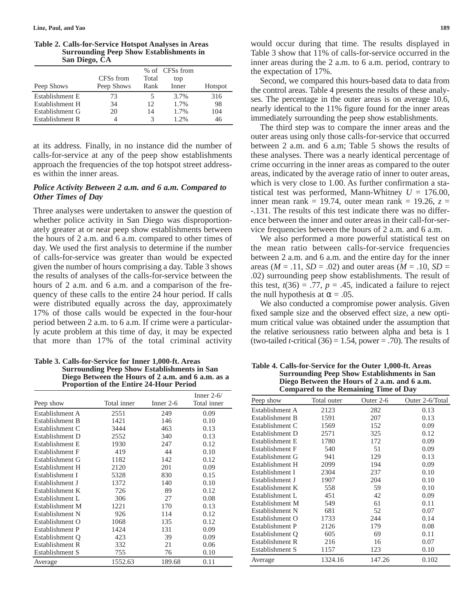|                 |                       |       | % of CFSs from |         |
|-----------------|-----------------------|-------|----------------|---------|
|                 | CFS <sub>s</sub> from | Total | top            |         |
| Peep Shows      | Peep Shows            | Rank  | Inner          | Hotspot |
| Establishment E | 73                    |       | 3.7%           | 316     |
| Establishment H | 34                    | 12    | 1.7%           | 98      |
| Establishment G | 20                    | 14    | 1.7%           | 104     |
| Establishment R |                       |       | $1.2\%$        | 46      |

**Table 2. Calls-for-Service Hotspot Analyses in Areas Surrounding Peep Show Establishments in San Diego, CA**

at its address. Finally, in no instance did the number of calls-for-service at any of the peep show establishments approach the frequencies of the top hotspot street addresses within the inner areas.

# *Police Activity Between 2 a.m. and 6 a.m. Compared to Other Times of Day*

Three analyses were undertaken to answer the question of whether police activity in San Diego was disproportionately greater at or near peep show establishments between the hours of 2 a.m. and 6 a.m. compared to other times of day. We used the first analysis to determine if the number of calls-for-service was greater than would be expected given the number of hours comprising a day. Table 3 shows the results of analyses of the calls-for-service between the hours of 2 a.m. and 6 a.m. and a comparison of the frequency of these calls to the entire 24 hour period. If calls were distributed equally across the day, approximately 17% of those calls would be expected in the four-hour period between 2 a.m. to 6 a.m. If crime were a particularly acute problem at this time of day, it may be expected that more than 17% of the total criminal activity

**Table 3. Calls-for-Service for Inner 1,000-ft. Areas Surrounding Peep Show Establishments in San Diego Between the Hours of 2 a.m. and 6 a.m. as a Proportion of the Entire 24-Hour Period**

|                 |             |             | Inner $2-6/$ |
|-----------------|-------------|-------------|--------------|
| Peep show       | Total inner | Inner $2-6$ | Total inner  |
| Establishment A | 2551        | 249         | 0.09         |
| Establishment B | 1421        | 146         | 0.10         |
| Establishment C | 3444        | 463         | 0.13         |
| Establishment D | 2552        | 340         | 0.13         |
| Establishment E | 1930        | 247         | 0.12         |
| Establishment F | 419         | 44          | 0.10         |
| Establishment G | 1182        | 142         | 0.12         |
| Establishment H | 2120        | 201         | 0.09         |
| Establishment I | 5328        | 830         | 0.15         |
| Establishment J | 1372        | 140         | 0.10         |
| Establishment K | 726         | 89          | 0.12         |
| Establishment L | 306         | 27          | 0.08         |
| Establishment M | 1221        | 170         | 0.13         |
| Establishment N | 926         | 114         | 0.12         |
| Establishment O | 1068        | 135         | 0.12         |
| Establishment P | 1424        | 131         | 0.09         |
| Establishment O | 423         | 39          | 0.09         |
| Establishment R | 332         | 21          | 0.06         |
| Establishment S | 755         | 76          | 0.10         |
| Average         | 1552.63     | 189.68      | 0.11         |

would occur during that time. The results displayed in Table 3 show that 11% of calls-for-service occurred in the inner areas during the 2 a.m. to 6 a.m. period, contrary to the expectation of 17%.

Second, we compared this hours-based data to data from the control areas. Table 4 presents the results of these analyses. The percentage in the outer areas is on average 10.6, nearly identical to the 11% figure found for the inner areas immediately surrounding the peep show establishments.

The third step was to compare the inner areas and the outer areas using only those calls-for-service that occurred between 2 a.m. and 6 a.m; Table 5 shows the results of these analyses. There was a nearly identical percentage of crime occurring in the inner areas as compared to the outer areas, indicated by the average ratio of inner to outer areas, which is very close to 1.00. As further confirmation a statistical test was performed, Mann-Whitney  $U = 176.00$ , inner mean rank = 19.74, outer mean rank = 19.26,  $z =$ -.131. The results of this test indicate there was no difference between the inner and outer areas in their call-for-service frequencies between the hours of 2 a.m. and 6 a.m.

We also performed a more powerful statistical test on the mean ratio between calls-for-service frequencies between 2 a.m. and 6 a.m. and the entire day for the inner areas ( $M = .11$ ,  $SD = .02$ ) and outer areas ( $M = .10$ ,  $SD =$ .02) surrounding peep show establishments. The result of this test,  $t(36) = .77$ ,  $p = .45$ , indicated a failure to reject the null hypothesis at  $\alpha = .05$ .

We also conducted a compromise power analysis. Given fixed sample size and the observed effect size, a new optimum critical value was obtained under the assumption that the relative seriousness ratio between alpha and beta is 1 (two-tailed *t*-critical  $(36) = 1.54$ , power = .70). The results of

**Table 4. Calls-for-Service for the Outer 1,000-ft. Areas Surrounding Peep Show Establishments in San Diego Between the Hours of 2 a.m. and 6 a.m. Compared to the Remaining Time of Day**

| Peep show       | Total outer | Outer 2-6 | Outer 2-6/Total |
|-----------------|-------------|-----------|-----------------|
| Establishment A | 2123        | 282       | 0.13            |
| Establishment B | 1591        | 207       | 0.13            |
| Establishment C | 1569        | 152       | 0.09            |
| Establishment D | 2571        | 325       | 0.12            |
| Establishment E | 1780        | 172       | 0.09            |
| Establishment F | 540         | 51        | 0.09            |
| Establishment G | 941         | 129       | 0.13            |
| Establishment H | 2099        | 194       | 0.09            |
| Establishment I | 2304        | 237       | 0.10            |
| Establishment J | 1907        | 204       | 0.10            |
| Establishment K | 558         | 59        | 0.10            |
| Establishment L | 451         | 42        | 0.09            |
| Establishment M | 549         | 61        | 0.11            |
| Establishment N | 681         | 52        | 0.07            |
| Establishment O | 1733        | 244       | 0.14            |
| Establishment P | 2126        | 179       | 0.08            |
| Establishment Q | 605         | 69        | 0.11            |
| Establishment R | 216         | 16        | 0.07            |
| Establishment S | 1157        | 123       | 0.10            |
| Average         | 1324.16     | 147.26    | 0.102           |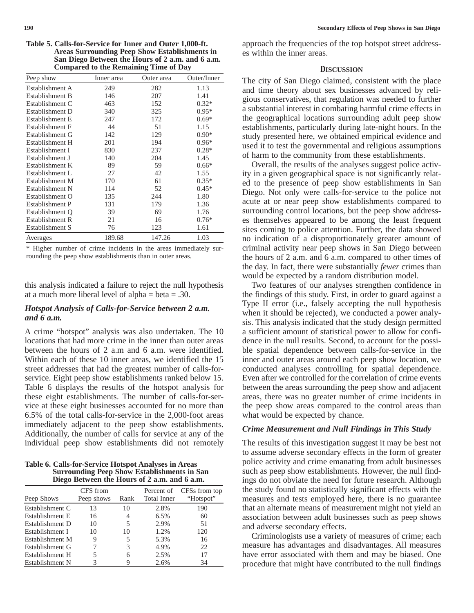| Table 5. Calls-for-Service for Inner and Outer 1,000-ft. |
|----------------------------------------------------------|
| <b>Areas Surrounding Peep Show Establishments in</b>     |
| San Diego Between the Hours of 2 a.m. and 6 a.m.         |
| Compared to the Remaining Time of Day                    |

| Peep show       | Inner area | Outer area | Outer/Inner |
|-----------------|------------|------------|-------------|
| Establishment A | 249        | 282        | 1.13        |
| Establishment B | 146        | 207        | 1.41        |
| Establishment C | 463        | 152        | $0.32*$     |
| Establishment D | 340        | 325        | $0.95*$     |
| Establishment E | 247        | 172        | $0.69*$     |
| Establishment F | 44         | 51         | 1.15        |
| Establishment G | 142        | 129        | $0.90*$     |
| Establishment H | 201        | 194        | $0.96*$     |
| Establishment I | 830        | 237        | $0.28*$     |
| Establishment J | 140        | 204        | 1.45        |
| Establishment K | 89         | 59         | $0.66*$     |
| Establishment L | 27         | 42         | 1.55        |
| Establishment M | 170        | 61         | $0.35*$     |
| Establishment N | 114        | 52         | $0.45*$     |
| Establishment O | 135        | 244        | 1.80        |
| Establishment P | 131        | 179        | 1.36        |
| Establishment O | 39         | 69         | 1.76        |
| Establishment R | 21         | 16         | $0.76*$     |
| Establishment S | 76         | 123        | 1.61        |
| Averages        | 189.68     | 147.26     | 1.03        |

\* Higher number of crime incidents in the areas immediately surrounding the peep show establishments than in outer areas.

this analysis indicated a failure to reject the null hypothesis at a much more liberal level of alpha  $=$  beta  $=$  .30.

# *Hotspot Analysis of Calls-for-Service between 2 a.m. and 6 a.m.*

A crime "hotspot" analysis was also undertaken. The 10 locations that had more crime in the inner than outer areas between the hours of 2 a.m and 6 a.m. were identified. Within each of these 10 inner areas, we identified the 15 street addresses that had the greatest number of calls-forservice. Eight peep show establishments ranked below 15. Table 6 displays the results of the hotspot analysis for these eight establishments. The number of calls-for-service at these eight businesses accounted for no more than 6.5% of the total calls-for-service in the 2,000-foot areas immediately adjacent to the peep show establishments. Additionally, the number of calls for service at any of the individual peep show establishments did not remotely

**Table 6. Calls-for-Service Hotspot Analyses in Areas Surrounding Peep Show Establishments in San Diego Between the Hours of 2 a.m. and 6 a.m.**

| Peep Shows      | CFS from<br>Peep shows | Rank | Percent of<br><b>Total Inner</b> | CFSs from top<br>"Hotspot" |
|-----------------|------------------------|------|----------------------------------|----------------------------|
| Establishment C | 13                     | 10   | 2.8%                             | 190                        |
| Establishment E | 16                     | 4    | 6.5%                             | 60                         |
| Establishment D | 10                     | 5    | 2.9%                             | 51                         |
| Establishment I | 10                     | 10   | 1.2%                             | 120                        |
| Establishment M | 9                      | 5    | 5.3%                             | 16                         |
| Establishment G |                        | 3    | 4.9%                             | 22                         |
| Establishment H | 5                      | 6    | 2.5%                             | 17                         |
| Establishment N | 3                      | g    | 2.6%                             | 34                         |

approach the frequencies of the top hotspot street addresses within the inner areas.

# **DISCUSSION**

The city of San Diego claimed, consistent with the place and time theory about sex businesses advanced by religious conservatives, that regulation was needed to further a substantial interest in combating harmful crime effects in the geographical locations surrounding adult peep show establishments, particularly during late-night hours. In the study presented here, we obtained empirical evidence and used it to test the governmental and religious assumptions of harm to the community from these establishments.

Overall, the results of the analyses suggest police activity in a given geographical space is not significantly related to the presence of peep show establishments in San Diego. Not only were calls-for-service to the police not acute at or near peep show establishments compared to surrounding control locations, but the peep show addresses themselves appeared to be among the least frequent sites coming to police attention. Further, the data showed no indication of a disproportionately greater amount of criminal activity near peep shows in San Diego between the hours of 2 a.m. and 6 a.m. compared to other times of the day. In fact, there were substantially *fewer* crimes than would be expected by a random distribution model.

Two features of our analyses strengthen confidence in the findings of this study. First, in order to guard against a Type II error (i.e., falsely accepting the null hypothesis when it should be rejected), we conducted a power analysis. This analysis indicated that the study design permitted a sufficient amount of statistical power to allow for confidence in the null results. Second, to account for the possible spatial dependence between calls-for-service in the inner and outer areas around each peep show location, we conducted analyses controlling for spatial dependence. Even after we controlled for the correlation of crime events between the areas surrounding the peep show and adjacent areas, there was no greater number of crime incidents in the peep show areas compared to the control areas than what would be expected by chance.

# *Crime Measurement and Null Findings in This Study*

The results of this investigation suggest it may be best not to assume adverse secondary effects in the form of greater police activity and crime emanating from adult businesses such as peep show establishments. However, the null findings do not obviate the need for future research. Although the study found no statistically significant effects with the measures and tests employed here, there is no guarantee that an alternate means of measurement might not yield an association between adult businesses such as peep shows and adverse secondary effects.

Criminologists use a variety of measures of crime; each measure has advantages and disadvantages. All measures have error associated with them and may be biased. One procedure that might have contributed to the null findings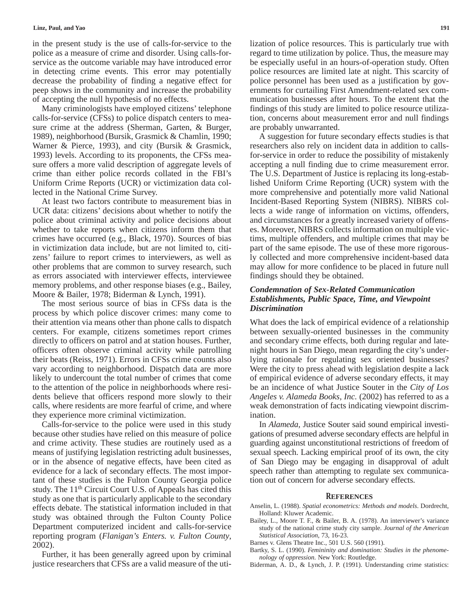in the present study is the use of calls-for-service to the police as a measure of crime and disorder. Using calls-forservice as the outcome variable may have introduced error in detecting crime events. This error may potentially decrease the probability of finding a negative effect for peep shows in the community and increase the probability of accepting the null hypothesis of no effects.

Many criminologists have employed citizens' telephone calls-for-service (CFSs) to police dispatch centers to measure crime at the address (Sherman, Garten, & Burger, 1989), neighborhood (Bursik, Grasmick & Chamlin, 1990; Warner & Pierce, 1993), and city (Bursik & Grasmick, 1993) levels. According to its proponents, the CFSs measure offers a more valid description of aggregate levels of crime than either police records collated in the FBI's Uniform Crime Reports (UCR) or victimization data collected in the National Crime Survey.

At least two factors contribute to measurement bias in UCR data: citizens' decisions about whether to notify the police about criminal activity and police decisions about whether to take reports when citizens inform them that crimes have occurred (e.g., Black, 1970). Sources of bias in victimization data include, but are not limited to, citizens' failure to report crimes to interviewers, as well as other problems that are common to survey research, such as errors associated with interviewer effects, interviewee memory problems, and other response biases (e.g., Bailey, Moore & Bailer, 1978; Biderman & Lynch, 1991).

The most serious source of bias in CFSs data is the process by which police discover crimes: many come to their attention via means other than phone calls to dispatch centers. For example, citizens sometimes report crimes directly to officers on patrol and at station houses. Further, officers often observe criminal activity while patrolling their beats (Reiss, 1971). Errors in CFSs crime counts also vary according to neighborhood. Dispatch data are more likely to undercount the total number of crimes that come to the attention of the police in neighborhoods where residents believe that officers respond more slowly to their calls, where residents are more fearful of crime, and where they experience more criminal victimization.

Calls-for-service to the police were used in this study because other studies have relied on this measure of police and crime activity. These studies are routinely used as a means of justifying legislation restricting adult businesses, or in the absence of negative effects, have been cited as evidence for a lack of secondary effects. The most important of these studies is the Fulton County Georgia police study. The 11<sup>th</sup> Circuit Court U.S. of Appeals has cited this study as one that is particularly applicable to the secondary effects debate. The statistical information included in that study was obtained through the Fulton County Police Department computerized incident and calls-for-service reporting program (*Flanigan's Enters. v. Fulton County*, 2002).

Further, it has been generally agreed upon by criminal justice researchers that CFSs are a valid measure of the utilization of police resources. This is particularly true with regard to time utilization by police. Thus, the measure may be especially useful in an hours-of-operation study. Often police resources are limited late at night. This scarcity of police personnel has been used as a justification by governments for curtailing First Amendment-related sex communication businesses after hours. To the extent that the findings of this study are limited to police resource utilization, concerns about measurement error and null findings are probably unwarranted.

A suggestion for future secondary effects studies is that researchers also rely on incident data in addition to callsfor-service in order to reduce the possibility of mistakenly accepting a null finding due to crime measurement error. The U.S. Department of Justice is replacing its long-established Uniform Crime Reporting (UCR) system with the more comprehensive and potentially more valid National Incident-Based Reporting System (NIBRS). NIBRS collects a wide range of information on victims, offenders, and circumstances for a greatly increased variety of offenses. Moreover, NIBRS collects information on multiple victims, multiple offenders, and multiple crimes that may be part of the same episode. The use of these more rigorously collected and more comprehensive incident-based data may allow for more confidence to be placed in future null findings should they be obtained.

## *Condemnation of Sex-Related Communication Establishments, Public Space, Time, and Viewpoint Discrimination*

What does the lack of empirical evidence of a relationship between sexually-oriented businesses in the community and secondary crime effects, both during regular and latenight hours in San Diego, mean regarding the city's underlying rationale for regulating sex oriented businesses? Were the city to press ahead with legislation despite a lack of empirical evidence of adverse secondary effects, it may be an incidence of what Justice Souter in the *City of Los Angeles v. Alameda Books, Inc.* (2002) has referred to as a weak demonstration of facts indicating viewpoint discrimination.

In *Alameda,* Justice Souter said sound empirical investigations of presumed adverse secondary effects are helpful in guarding against unconstitutional restrictions of freedom of sexual speech. Lacking empirical proof of its own, the city of San Diego may be engaging in disapproval of adult speech rather than attempting to regulate sex communication out of concern for adverse secondary effects.

#### **REFERENCES**

- Anselin, L. (1988). *Spatial econometrics: Methods and models*. Dordrecht, Holland: Kluwer Academic.
- Bailey, L., Moore T. F., & Bailer, B. A. (1978). An interviewer's variance study of the national crime study city sample. *Journal of the American Statistical Association*, 73, 16-23.
- Barnes v. Glens Theatre Inc., 501 U.S. 560 (1991).
- Bartky, S. L. (1990). *Femininity and domination: Studies in the phenomenology of oppression.* New York: Routledge.
- Biderman, A. D., & Lynch, J. P. (1991). Understanding crime statistics: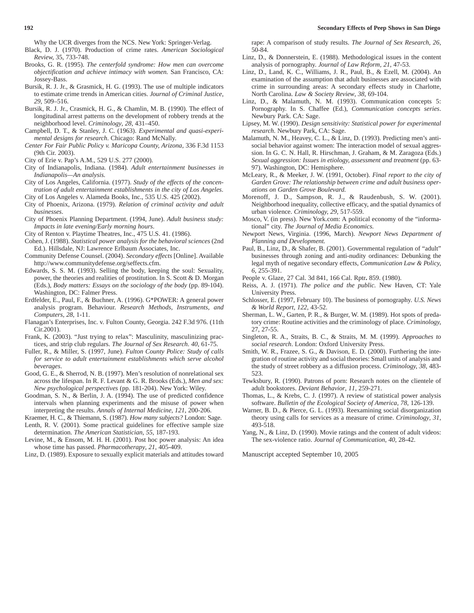- Black, D. J. (1970). Production of crime rates. *American Sociological Review,* 35, 733-748.
- Brooks, G. R. (1995). *The centerfold syndrome: How men can overcome objectification and achieve intimacy with women.* San Francisco, CA: Jossey-Bass.
- Bursik, R. J. Jr., & Grasmick, H. G. (1993). The use of multiple indicators to estimate crime trends in American cities. *Journal of Criminal Justice*, *29*, 509–516.
- Bursik, R. J. Jr., Crasmick, H. G., & Chamlin, M. B. (1990). The effect of longitudinal arrest patterns on the development of robbery trends at the neighborhood level. *Criminology*, *28*, 431–450.
- Campbell, D. T., & Stanley, J. C. (1963). *Experimental and quasi-experimental designs for research*. Chicago: Rand McNally.
- *Center For Fair Public Policy v. Maricopa County, Arizona*, 336 F.3d 1153 (9th Cir. 2003).
- City of Erie v. Pap's A.M., 529 U.S. 277 (2000).
- City of Indianapolis, Indiana. (1984). *Adult entertainment businesses in Indianapolis—An analysis.*
- City of Los Angeles, California. (1977). *Study of the effects of the concentration of adult entertainment establishments in the city of Los Angeles*. City of Los Angeles v. Alameda Books, Inc., 535 U.S. 425 (2002).
- City of Phoenix, Arizona. (1979). *Relation of criminal activity and adult businesses*.
- City of Phoenix Planning Department. (1994, June). *Adult business study: Impacts in late evening/Early morning hours*.
- City of Renton v. Playtime Theatres, Inc., 475 U.S. 41. (1986).
- Cohen, J. (1988). *Statistical power analysis for the behavioral sciences* (2nd Ed.). Hillsdale, NJ: Lawrence Erlbaum Associates, Inc.
- Community Defense Counsel. (2004). *Secondary effects* [Online]. Available http://www.communitydefense.org/seffects.cfm.
- Edwards, S. S. M. (1993). Selling the body, keeping the soul: Sexuality, power, the theories and realities of prostitution. In S. Scott & D. Morgan (Eds.), *Body matters: Essays on the sociology of the body* (pp. 89-104). Washington, DC: Falmer Press.
- Erdfelder, E., Paul, F., & Buchner, A. (1996). G\*POWER: A general power analysis program. Behaviour. *Research Methods, Instruments, and Computers*, *28*, 1-11.
- Flanagan's Enterprises, Inc. v. Fulton County, Georgia. 242 F.3d 976. (11th Cir.2001).
- Frank, K. (2003). "Just trying to relax": Masculinity, masculinizing practices, and strip club regulars. *The Journal of Sex Research*. *40*, 61-75.
- Fuller, R., & Miller, S. (1997, June). *Fulton County Police: Study of calls for service to adult entertainment establishments which serve alcohol beverages*.
- Good, G. E., & Sherrod, N. B. (1997). Men's resolution of nonrelational sex across the lifespan. In R. F. Levant & G. R. Brooks (Eds.), *Men and sex: New psychological perspectives* (pp. 181-204). New York: Wiley.
- Goodman, S. N., & Berlin, J. A. (1994). The use of predicted confidence intervals when planning experiments and the misuse of power when interpreting the results. *Annals of Internal Medicine, 121*, 200-206.
- Kraemer, H. C., & Thiemann, S. (1987). *How many subjects?* London: Sage.
- Lenth, R. V. (2001). Some practical guidelines for effective sample size determination. *The American Statistician*, *55*, 187-193.
- Levine, M., & Ensom, M. H. H. (2001). Post hoc power analysis: An idea whose time has passed. *Pharmacotherapy*, *21*, 405-409.
- Linz, D. (1989). Exposure to sexually explicit materials and attitudes toward

rape: A comparison of study results. *The Journal of Sex Research*, *26*, 50-84.

- Linz, D., & Donnerstein, E. (1988). Methodological issues in the content analysis of pornography. *Journal of Law Reform, 21*, 47-53.
- Linz, D., Land, K. C., Williams, J. R., Paul, B., & Ezell, M. (2004). An examination of the assumption that adult businesses are associated with crime in surrounding areas: A secondary effects study in Charlotte, North Carolina. *Law & Society Review*, *38*, 69-104.
- Linz, D., & Malamuth, N. M. (1993). Communication concepts 5: Pornography. In S. Chaffee (Ed.), *Communication concepts series*. Newbury Park. CA: Sage.
- Lipsey, M. W. (1990). *Design sensitivity: Statistical power for experimental research*. Newbury Park, CA: Sage.
- Malamuth, N. M., Heavey, C. L., & Linz, D. (1993). Predicting men's antisocial behavior against women: The interaction model of sexual aggression. In G. C. N. Hall, R. Hirschman, J. Graham, & M. Zaragoza (Eds.) *Sexual aggression: Issues in etiology, assessment and treatment* (pp. 63- 97). Washington, DC: Hemisphere.
- McLeary, R., & Meeker, J. W. (1991, October). *Final report to the city of Garden Grove: The relationship between crime and adult business operations on Garden Grove Boulevard.*
- Morenoff, J. D., Sampson, R. J., & Raudenbush, S. W. (2001). Neighborhood inequality, collective efficacy, and the spatial dynamics of urban violence. *Criminology, 29,* 517-559.
- Mosco, V. (in press). New York.com: A political economy of the "informational" city. *The Journal of Media Economics.*
- Newport News, Virginia. (1996, March). *Newport News Department of Planning and Development.*
- Paul, B., Linz, D., & Shafer, B. (2001). Governmental regulation of "adult" businesses through zoning and anti-nudity ordinances: Debunking the legal myth of negative secondary effects, *Communication Law & Policy, 6*, 255-391.
- People v. Glaze, 27 Cal. 3d 841, 166 Cal. Rptr**.** 859. (1980).
- Reiss, A. J. (1971). *The police and the public.* New Haven, CT: Yale University Press.
- Schlosser, E. (1997, February 10). The business of pornography. *U.S. News & World Report, 122,* 43-52.
- Sherman, L. W., Garten, P. R., & Burger, W. M. (1989). Hot spots of predatory crime: Routine activities and the criminology of place. *Criminology,* 27, 27-55.
- Singleton, R. A., Straits, B. C., & Straits, M. M. (1999). *Approaches to social research*. London: Oxford University Press.
- Smith, W. R., Frazee, S. G., & Davison, E. D. (2000). Furthering the integration of routine activity and social theories: Small units of analysis and the study of street robbery as a diffusion process. *Criminology, 38*, 483- 523.
- Tewksbury, R. (1990). Patrons of porn: Research notes on the clientele of adult bookstores. *Deviant Behavior*, *11*, 259-271.
- Thomas, L., & Krebs, C. J. (1997). A review of statistical power analysis software. *Bulletin of the Ecological Society of America*, *78*, 126-139.
- Warner, B. D., & Pierce, G. L. (1993). Reexamining social disorganization theory using calls for services as a measure of crime. *Criminology*, *31*, 493-518.
- Yang, N., & Linz, D. (1990). Movie ratings and the content of adult videos: The sex-violence ratio. *Journal of Communication*, *40*, 28-42.

Manuscript accepted September 10, 2005